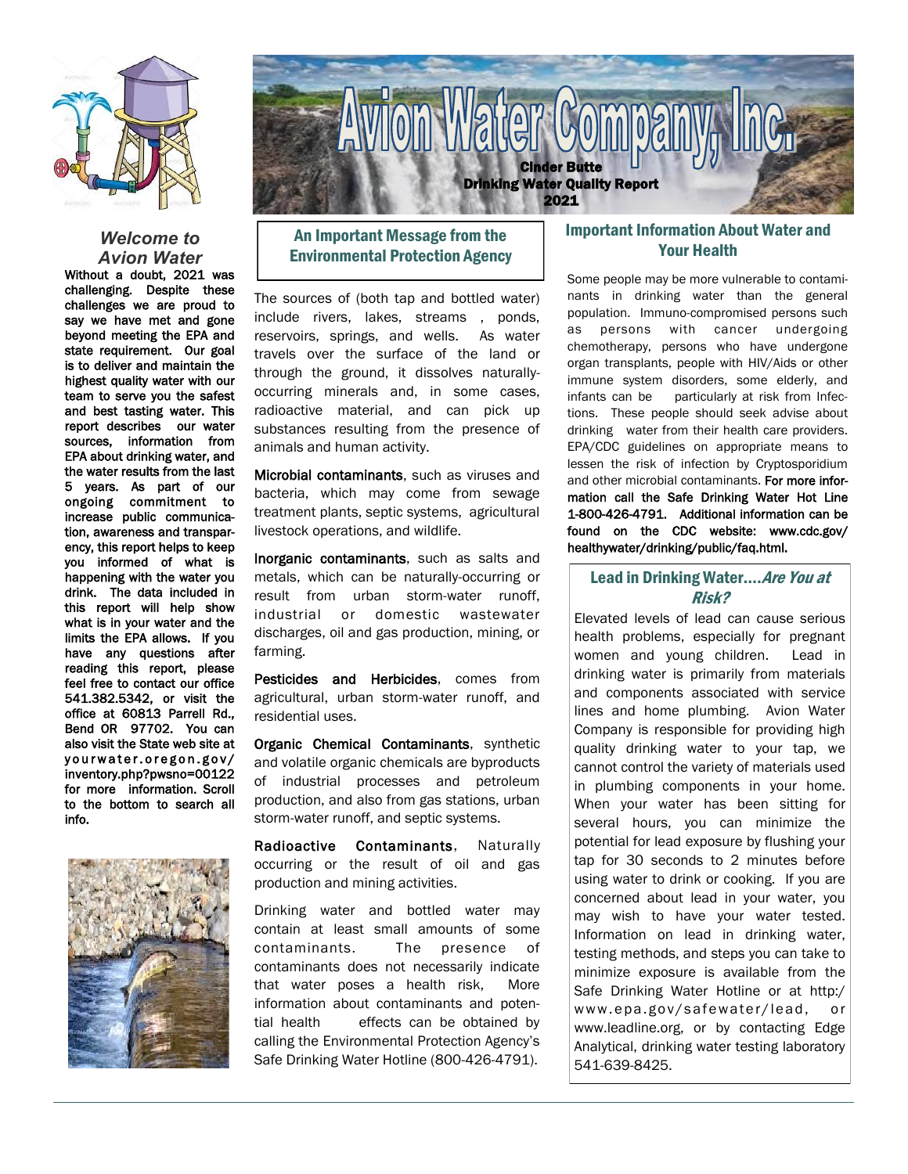

#### *Welcome to Avion Water*

Without a doubt, 2021 was challenging. Despite these challenges we are proud to say we have met and gone beyond meeting the EPA and state requirement. Our goal is to deliver and maintain the highest quality water with our team to serve you the safest and best tasting water. This report describes our water sources, information from EPA about drinking water, and the water results from the last 5 years. As part of our ongoing commitment to increase public communication, awareness and transparency, this report helps to keep you informed of what is happening with the water you drink. The data included in this report will help show what is in your water and the limits the EPA allows. If you have any questions after reading this report, please feel free to contact our office 541.382.5342, or visit the office at 60813 Parrell Rd., Bend OR 97702. You can also visit the State web site at yourwater.oregon.gov/ inventory.php?pwsno=00122 for more information. Scroll to the bottom to search all info.





# An Important Message from the Environmental Protection Agency

The sources of (both tap and bottled water) include rivers, lakes, streams , ponds, reservoirs, springs, and wells. As water travels over the surface of the land or through the ground, it dissolves naturallyoccurring minerals and, in some cases, radioactive material, and can pick up substances resulting from the presence of animals and human activity.

Microbial contaminants, such as viruses and bacteria, which may come from sewage treatment plants, septic systems, agricultural livestock operations, and wildlife.

Inorganic contaminants, such as salts and metals, which can be naturally-occurring or result from urban storm-water runoff, industrial or domestic wastewater discharges, oil and gas production, mining, or farming.

Pesticides and Herbicides, comes from agricultural, urban storm-water runoff, and residential uses.

Organic Chemical Contaminants, synthetic and volatile organic chemicals are byproducts of industrial processes and petroleum production, and also from gas stations, urban storm-water runoff, and septic systems.

Radioactive Contaminants, Naturally occurring or the result of oil and gas production and mining activities.

Drinking water and bottled water may contain at least small amounts of some contaminants. The presence of contaminants does not necessarily indicate that water poses a health risk, More information about contaminants and potential health effects can be obtained by calling the Environmental Protection Agency's Safe Drinking Water Hotline (800-426-4791).

## Important Information About Water and Your Health

Some people may be more vulnerable to contaminants in drinking water than the general population. Immuno-compromised persons such as persons with cancer undergoing chemotherapy, persons who have undergone organ transplants, people with HIV/Aids or other immune system disorders, some elderly, and infants can be particularly at risk from Infections. These people should seek advise about drinking water from their health care providers. EPA/CDC guidelines on appropriate means to lessen the risk of infection by Cryptosporidium and other microbial contaminants. For more information call the Safe Drinking Water Hot Line 1-800-426-4791. Additional information can be found on the CDC website: www.cdc.gov/ healthywater/drinking/public/faq.html.

## Lead in Drinking Water.... Are You at Risk?

Elevated levels of lead can cause serious health problems, especially for pregnant women and young children. Lead in drinking water is primarily from materials and components associated with service lines and home plumbing. Avion Water Company is responsible for providing high quality drinking water to your tap, we cannot control the variety of materials used in plumbing components in your home. When your water has been sitting for several hours, you can minimize the potential for lead exposure by flushing your tap for 30 seconds to 2 minutes before using water to drink or cooking. If you are concerned about lead in your water, you may wish to have your water tested. Information on lead in drinking water, testing methods, and steps you can take to minimize exposure is available from the Safe Drinking Water Hotline or at http:/ www.epa.gov/safewater/lead, or www.leadline.org, or by contacting Edge Analytical, drinking water testing laboratory 541-639-8425.